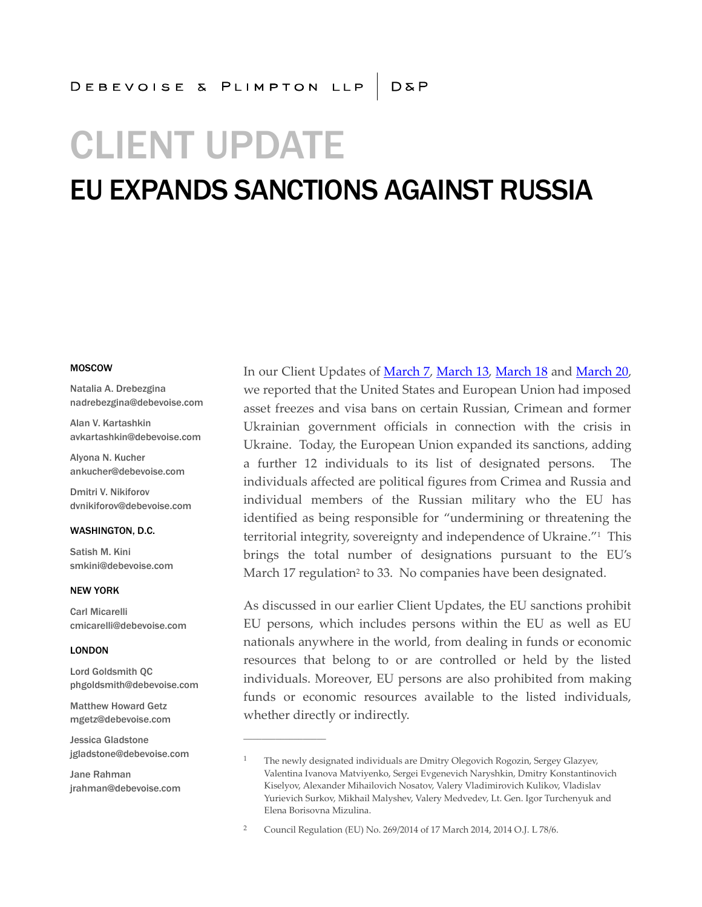# CLIENT UPDATE

## EU EXPANDS SANCTIONS AGAINST RUSSIA

#### MOSCOW

Natalia A. Drebezgina nadrebezgina@debevoise.com

Alan V. Kartashkin avkartashkin@debevoise.com

Alyona N. Kucher ankucher@debevoise.com

Dmitri V. Nikiforov dvnikiforov@debevoise.com

#### WASHINGTON, D.C.

Satish M. Kini smkini@debevoise.com

#### NEW YORK

Carl Micarelli cmicarelli@debevoise.com

#### LONDON

Lord Goldsmith QC phgoldsmith@debevoise.com

Matthew Howard Getz mgetz@debevoise.com

Jessica Gladstone jgladstone@debevoise.com

Jane Rahman jrahman@debevoise.com In our Client Updates of [March 7,](http://www.debevoise.com/clientupdate20140307b/) [March 13,](http://www.debevoise.com/clientupdate20140313a/) [March 18](http://www.debevoise.com/clientupdate20140318a/) and [March 20,](http://www.debevoise.com/clientupdate20140320a/) we reported that the United States and European Union had imposed asset freezes and visa bans on certain Russian, Crimean and former Ukrainian government officials in connection with the crisis in Ukraine. Today, the European Union expanded its sanctions, adding a further 12 individuals to its list of designated persons. The individuals affected are political figures from Crimea and Russia and individual members of the Russian military who the EU has identified as being responsible for "undermining or threatening the territorial integrity, sovereignty and independence of Ukraine." 1 This brings the total number of designations pursuant to the EU's March 17 regulation<sup>2</sup> to 33. No companies have been designated.

As discussed in our earlier Client Updates, the EU sanctions prohibit EU persons, which includes persons within the EU as well as EU nationals anywhere in the world, from dealing in funds or economic resources that belong to or are controlled or held by the listed individuals. Moreover, EU persons are also prohibited from making funds or economic resources available to the listed individuals, whether directly or indirectly.

**\_\_\_\_\_\_\_\_\_\_\_\_\_\_\_\_\_\_**

<sup>1</sup> The newly designated individuals are Dmitry Olegovich Rogozin, Sergey Glazyev, Valentina Ivanova Matviyenko, Sergei Evgenevich Naryshkin, Dmitry Konstantinovich Kiselyov, Alexander Mihailovich Nosatov, Valery Vladimirovich Kulikov, Vladislav Yurievich Surkov, Mikhail Malyshev, Valery Medvedev, Lt. Gen. Igor Turchenyuk and Elena Borisovna Mizulina.

<sup>2</sup> Council Regulation (EU) No. 269/2014 of 17 March 2014, 2014 O.J. L 78/6.